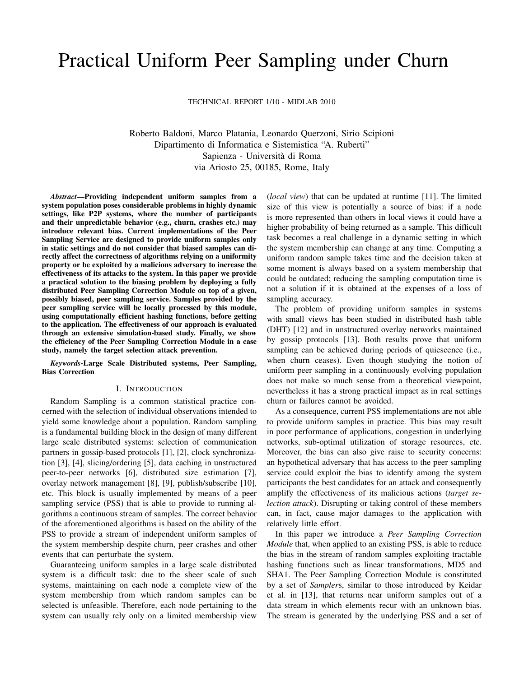# Practical Uniform Peer Sampling under Churn

TECHNICAL REPORT 1/10 - MIDLAB 2010

Roberto Baldoni, Marco Platania, Leonardo Querzoni, Sirio Scipioni Dipartimento di Informatica e Sistemistica "A. Ruberti" Sapienza - Universita di Roma ` via Ariosto 25, 00185, Rome, Italy

*Abstract*—Providing independent uniform samples from a system population poses considerable problems in highly dynamic settings, like P2P systems, where the number of participants and their unpredictable behavior (e.g., churn, crashes etc.) may introduce relevant bias. Current implementations of the Peer Sampling Service are designed to provide uniform samples only in static settings and do not consider that biased samples can directly affect the correctness of algorithms relying on a uniformity property or be exploited by a malicious adversary to increase the effectiveness of its attacks to the system. In this paper we provide a practical solution to the biasing problem by deploying a fully distributed Peer Sampling Correction Module on top of a given, possibly biased, peer sampling service. Samples provided by the peer sampling service will be locally processed by this module, using computationally efficient hashing functions, before getting to the application. The effectiveness of our approach is evaluated through an extensive simulation-based study. Finally, we show the efficiency of the Peer Sampling Correction Module in a case study, namely the target selection attack prevention.

*Keywords*-Large Scale Distributed systems, Peer Sampling, Bias Correction

## I. INTRODUCTION

Random Sampling is a common statistical practice concerned with the selection of individual observations intended to yield some knowledge about a population. Random sampling is a fundamental building block in the design of many different large scale distributed systems: selection of communication partners in gossip-based protocols [1], [2], clock synchronization [3], [4], slicing/ordering [5], data caching in unstructured peer-to-peer networks [6], distributed size estimation [7], overlay network management [8], [9], publish/subscribe [10], etc. This block is usually implemented by means of a peer sampling service (PSS) that is able to provide to running algorithms a continuous stream of samples. The correct behavior of the aforementioned algorithms is based on the ability of the PSS to provide a stream of independent uniform samples of the system membership despite churn, peer crashes and other events that can perturbate the system.

Guaranteeing uniform samples in a large scale distributed system is a difficult task: due to the sheer scale of such systems, maintaining on each node a complete view of the system membership from which random samples can be selected is unfeasible. Therefore, each node pertaining to the system can usually rely only on a limited membership view

(*local view*) that can be updated at runtime [11]. The limited size of this view is potentially a source of bias: if a node is more represented than others in local views it could have a higher probability of being returned as a sample. This difficult task becomes a real challenge in a dynamic setting in which the system membership can change at any time. Computing a uniform random sample takes time and the decision taken at some moment is always based on a system membership that could be outdated; reducing the sampling computation time is not a solution if it is obtained at the expenses of a loss of sampling accuracy.

The problem of providing uniform samples in systems with small views has been studied in distributed hash table (DHT) [12] and in unstructured overlay networks maintained by gossip protocols [13]. Both results prove that uniform sampling can be achieved during periods of quiescence (i.e., when churn ceases). Even though studying the notion of uniform peer sampling in a continuously evolving population does not make so much sense from a theoretical viewpoint, nevertheless it has a strong practical impact as in real settings churn or failures cannot be avoided.

As a consequence, current PSS implementations are not able to provide uniform samples in practice. This bias may result in poor performance of applications, congestion in underlying networks, sub-optimal utilization of storage resources, etc. Moreover, the bias can also give raise to security concerns: an hypothetical adversary that has access to the peer sampling service could exploit the bias to identify among the system participants the best candidates for an attack and consequently amplify the effectiveness of its malicious actions (*target selection attack*). Disrupting or taking control of these members can, in fact, cause major damages to the application with relatively little effort.

In this paper we introduce a *Peer Sampling Correction Module* that, when applied to an existing PSS, is able to reduce the bias in the stream of random samples exploiting tractable hashing functions such as linear transformations, MD5 and SHA1. The Peer Sampling Correction Module is constituted by a set of *Sampler*s, similar to those introduced by Keidar et al. in [13], that returns near uniform samples out of a data stream in which elements recur with an unknown bias. The stream is generated by the underlying PSS and a set of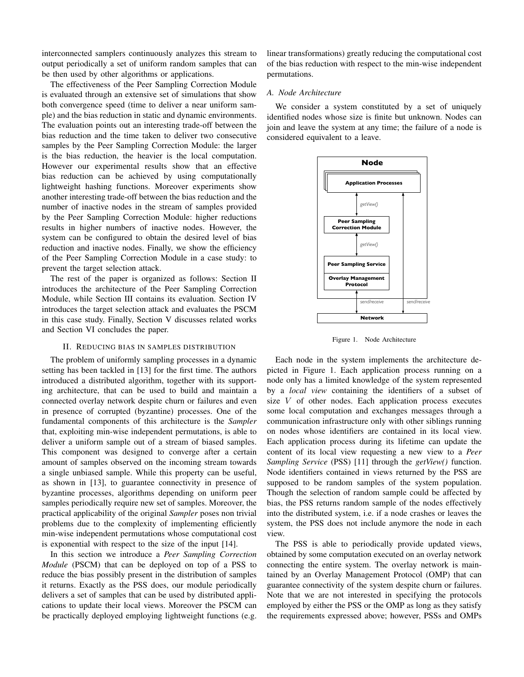interconnected samplers continuously analyzes this stream to output periodically a set of uniform random samples that can be then used by other algorithms or applications.

The effectiveness of the Peer Sampling Correction Module is evaluated through an extensive set of simulations that show both convergence speed (time to deliver a near uniform sample) and the bias reduction in static and dynamic environments. The evaluation points out an interesting trade-off between the bias reduction and the time taken to deliver two consecutive samples by the Peer Sampling Correction Module: the larger is the bias reduction, the heavier is the local computation. However our experimental results show that an effective bias reduction can be achieved by using computationally lightweight hashing functions. Moreover experiments show another interesting trade-off between the bias reduction and the number of inactive nodes in the stream of samples provided by the Peer Sampling Correction Module: higher reductions results in higher numbers of inactive nodes. However, the system can be configured to obtain the desired level of bias reduction and inactive nodes. Finally, we show the efficiency of the Peer Sampling Correction Module in a case study: to prevent the target selection attack.

The rest of the paper is organized as follows: Section II introduces the architecture of the Peer Sampling Correction Module, while Section III contains its evaluation. Section IV introduces the target selection attack and evaluates the PSCM in this case study. Finally, Section V discusses related works and Section VI concludes the paper.

#### II. REDUCING BIAS IN SAMPLES DISTRIBUTION

The problem of uniformly sampling processes in a dynamic setting has been tackled in [13] for the first time. The authors introduced a distributed algorithm, together with its supporting architecture, that can be used to build and maintain a connected overlay network despite churn or failures and even in presence of corrupted (byzantine) processes. One of the fundamental components of this architecture is the *Sampler* that, exploiting min-wise independent permutations, is able to deliver a uniform sample out of a stream of biased samples. This component was designed to converge after a certain amount of samples observed on the incoming stream towards a single unbiased sample. While this property can be useful, as shown in [13], to guarantee connectivity in presence of byzantine processes, algorithms depending on uniform peer samples periodically require new set of samples. Moreover, the practical applicability of the original *Sampler* poses non trivial problems due to the complexity of implementing efficiently min-wise independent permutations whose computational cost is exponential with respect to the size of the input [14].

In this section we introduce a *Peer Sampling Correction Module* (PSCM) that can be deployed on top of a PSS to reduce the bias possibly present in the distribution of samples it returns. Exactly as the PSS does, our module periodically delivers a set of samples that can be used by distributed applications to update their local views. Moreover the PSCM can be practically deployed employing lightweight functions (e.g. linear transformations) greatly reducing the computational cost of the bias reduction with respect to the min-wise independent permutations.

### *A. Node Architecture*

We consider a system constituted by a set of uniquely identified nodes whose size is finite but unknown. Nodes can join and leave the system at any time; the failure of a node is considered equivalent to a leave.



Figure 1. Node Architecture

Each node in the system implements the architecture depicted in Figure 1. Each application process running on a node only has a limited knowledge of the system represented by a *local view* containing the identifiers of a subset of size *V* of other nodes. Each application process executes some local computation and exchanges messages through a communication infrastructure only with other siblings running on nodes whose identifiers are contained in its local view. Each application process during its lifetime can update the content of its local view requesting a new view to a *Peer Sampling Service* (PSS) [11] through the *getView()* function. Node identifiers contained in views returned by the PSS are supposed to be random samples of the system population. Though the selection of random sample could be affected by bias, the PSS returns random sample of the nodes effectively into the distributed system, i.e. if a node crashes or leaves the system, the PSS does not include anymore the node in each view.

The PSS is able to periodically provide updated views, obtained by some computation executed on an overlay network connecting the entire system. The overlay network is maintained by an Overlay Management Protocol (OMP) that can guarantee connectivity of the system despite churn or failures. Note that we are not interested in specifying the protocols employed by either the PSS or the OMP as long as they satisfy the requirements expressed above; however, PSSs and OMPs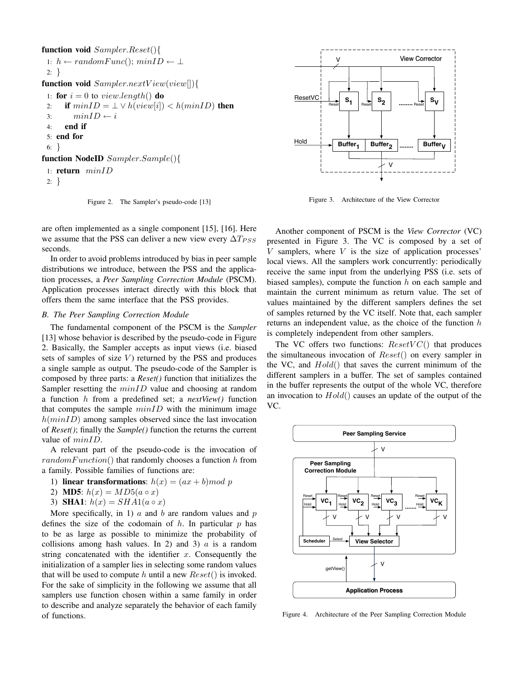```
function void Sampler.Reset(){
 1: h ← randomF unc(); minID ← ⊥
 2: }
function void Sampler.nextV iew(view[]){
 1: for i = 0 to view.length() do
 2: if minID = \perp \vee h(view[i]) < h(minID) then
 3: minID \leftarrow i4: end if
 5: end for
 6: }
function NodeID Sampler.Sample(){
 1: return minID
 2: }
```
Figure 2. The Sampler's pseudo-code [13]

are often implemented as a single component [15], [16]. Here we assume that the PSS can deliver a new view every  $\Delta T_{PSS}$ seconds.

In order to avoid problems introduced by bias in peer sample distributions we introduce, between the PSS and the application processes, a *Peer Sampling Correction Module* (PSCM). Application processes interact directly with this block that offers them the same interface that the PSS provides.

## *B. The Peer Sampling Correction Module*

The fundamental component of the PSCM is the *Sampler* [13] whose behavior is described by the pseudo-code in Figure 2. Basically, the Sampler accepts as input views (i.e. biased sets of samples of size  $V$ ) returned by the PSS and produces a single sample as output. The pseudo-code of the Sampler is composed by three parts: a *Reset()* function that initializes the Sampler resetting the *minID* value and choosing at random a function *h* from a predefined set; a *nextView()* function that computes the sample *minID* with the minimum image *h*(*minID*) among samples observed since the last invocation of *Reset()*; finally the *Sample()* function the returns the current value of *minID*.

A relevant part of the pseudo-code is the invocation of *randomF unction*() that randomly chooses a function *h* from a family. Possible families of functions are:

- 1) linear transformations:  $h(x) = (ax + b) \mod p$
- 2) **MD5**:  $h(x) = MD5(a \circ x)$
- 3) **SHA1:**  $h(x) = SHA1(a \circ x)$

More specifically, in 1) *a* and *b* are random values and *p* defines the size of the codomain of *h*. In particular *p* has to be as large as possible to minimize the probability of collisions among hash values. In 2) and 3)  $a$  is a random string concatenated with the identifier *x*. Consequently the initialization of a sampler lies in selecting some random values that will be used to compute *h* until a new *Reset*() is invoked. For the sake of simplicity in the following we assume that all samplers use function chosen within a same family in order to describe and analyze separately the behavior of each family of functions.



Figure 3. Architecture of the View Corrector

Another component of PSCM is the *View Corrector* (VC) presented in Figure 3. The VC is composed by a set of *V* samplers, where *V* is the size of application processes' local views. All the samplers work concurrently: periodically receive the same input from the underlying PSS (i.e. sets of biased samples), compute the function *h* on each sample and maintain the current minimum as return value. The set of values maintained by the different samplers defines the set of samples returned by the VC itself. Note that, each sampler returns an independent value, as the choice of the function *h* is completely independent from other samplers.

The VC offers two functions:  $ResetVC()$  that produces the simultaneous invocation of *Reset*() on every sampler in the VC, and *Hold*() that saves the current minimum of the different samplers in a buffer. The set of samples contained in the buffer represents the output of the whole VC, therefore an invocation to *Hold*() causes an update of the output of the VC.



Figure 4. Architecture of the Peer Sampling Correction Module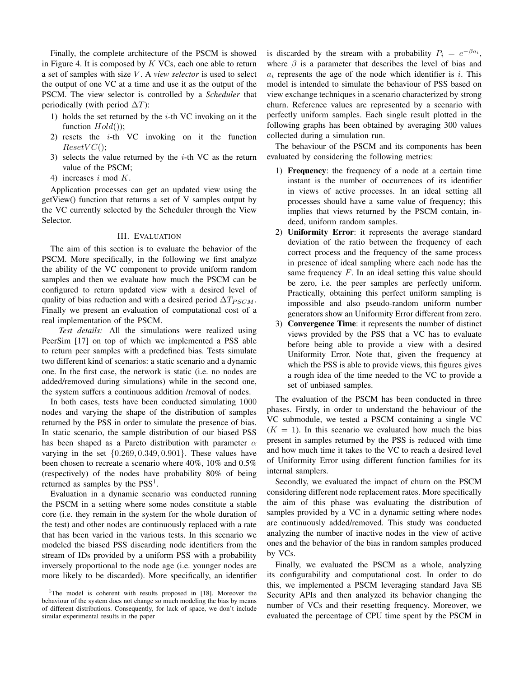Finally, the complete architecture of the PSCM is showed in Figure 4. It is composed by *K* VCs, each one able to return a set of samples with size *V* . A *view selector* is used to select the output of one VC at a time and use it as the output of the PSCM. The view selector is controlled by a *Scheduler* that periodically (with period  $\Delta T$ ):

- 1) holds the set returned by the *i*-th VC invoking on it the function *Hold*());
- 2) resets the *i*-th VC invoking on it the function  $ResetVC($ <sub>;</sub>
- 3) selects the value returned by the *i*-th VC as the return value of the PSCM;
- 4) increases *i* mod *K*.

Application processes can get an updated view using the getView() function that returns a set of V samples output by the VC currently selected by the Scheduler through the View Selector.

## III. EVALUATION

The aim of this section is to evaluate the behavior of the PSCM. More specifically, in the following we first analyze the ability of the VC component to provide uniform random samples and then we evaluate how much the PSCM can be configured to return updated view with a desired level of quality of bias reduction and with a desired period  $\Delta T_{PSCM}$ . Finally we present an evaluation of computational cost of a real implementation of the PSCM.

*Test details:* All the simulations were realized using PeerSim [17] on top of which we implemented a PSS able to return peer samples with a predefined bias. Tests simulate two different kind of scenarios: a static scenario and a dynamic one. In the first case, the network is static (i.e. no nodes are added/removed during simulations) while in the second one, the system suffers a continuous addition /removal of nodes.

In both cases, tests have been conducted simulating 1000 nodes and varying the shape of the distribution of samples returned by the PSS in order to simulate the presence of bias. In static scenario, the sample distribution of our biased PSS has been shaped as a Pareto distribution with parameter *α* varying in the set *{*0*.*269*,* 0*.*349*,* 0*.*901*}*. These values have been chosen to recreate a scenario where 40%, 10% and 0.5% (respectively) of the nodes have probability 80% of being returned as samples by the  $PSS<sup>1</sup>$ .

Evaluation in a dynamic scenario was conducted running the PSCM in a setting where some nodes constitute a stable core (i.e. they remain in the system for the whole duration of the test) and other nodes are continuously replaced with a rate that has been varied in the various tests. In this scenario we modeled the biased PSS discarding node identifiers from the stream of IDs provided by a uniform PSS with a probability inversely proportional to the node age (i.e. younger nodes are more likely to be discarded). More specifically, an identifier

is discarded by the stream with a probability  $P_i = e^{-\beta a_i}$ , where  $\beta$  is a parameter that describes the level of bias and  $a_i$  represents the age of the node which identifier is *i*. This model is intended to simulate the behaviour of PSS based on view exchange techniques in a scenario characterized by strong churn. Reference values are represented by a scenario with perfectly uniform samples. Each single result plotted in the following graphs has been obtained by averaging 300 values collected during a simulation run.

The behaviour of the PSCM and its components has been evaluated by considering the following metrics:

- 1) Frequency: the frequency of a node at a certain time instant is the number of occurrences of its identifier in views of active processes. In an ideal setting all processes should have a same value of frequency; this implies that views returned by the PSCM contain, indeed, uniform random samples.
- 2) Uniformity Error: it represents the average standard deviation of the ratio between the frequency of each correct process and the frequency of the same process in presence of ideal sampling where each node has the same frequency *F*. In an ideal setting this value should be zero, i.e. the peer samples are perfectly uniform. Practically, obtaining this perfect uniform sampling is impossible and also pseudo-random uniform number generators show an Uniformity Error different from zero.
- 3) Convergence Time: it represents the number of distinct views provided by the PSS that a VC has to evaluate before being able to provide a view with a desired Uniformity Error. Note that, given the frequency at which the PSS is able to provide views, this figures gives a rough idea of the time needed to the VC to provide a set of unbiased samples.

The evaluation of the PSCM has been conducted in three phases. Firstly, in order to understand the behaviour of the VC submodule, we tested a PSCM containing a single VC  $(K = 1)$ . In this scenario we evaluated how much the bias present in samples returned by the PSS is reduced with time and how much time it takes to the VC to reach a desired level of Uniformity Error using different function families for its internal samplers.

Secondly, we evaluated the impact of churn on the PSCM considering different node replacement rates. More specifically the aim of this phase was evaluating the distribution of samples provided by a VC in a dynamic setting where nodes are continuously added/removed. This study was conducted analyzing the number of inactive nodes in the view of active ones and the behavior of the bias in random samples produced by VCs.

Finally, we evaluated the PSCM as a whole, analyzing its configurability and computational cost. In order to do this, we implemented a PSCM leveraging standard Java SE Security APIs and then analyzed its behavior changing the number of VCs and their resetting frequency. Moreover, we evaluated the percentage of CPU time spent by the PSCM in

<sup>&</sup>lt;sup>1</sup>The model is coherent with results proposed in [18]. Moreover the behaviour of the system does not change so much modeling the bias by means of different distributions. Consequently, for lack of space, we don't include similar experimental results in the paper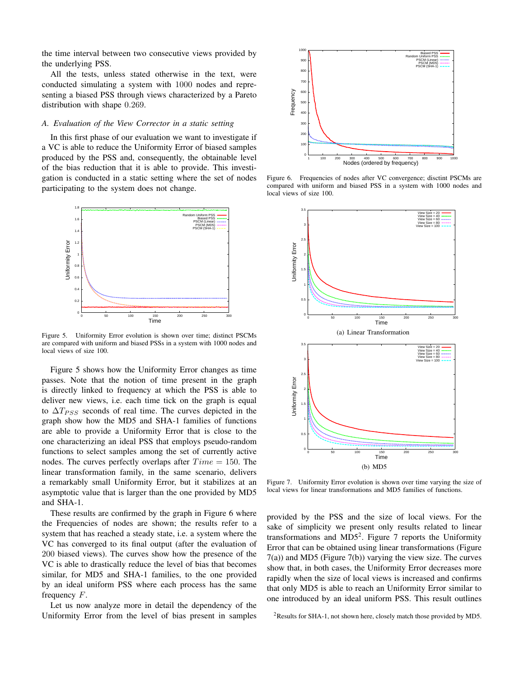the time interval between two consecutive views provided by the underlying PSS.

All the tests, unless stated otherwise in the text, were conducted simulating a system with 1000 nodes and representing a biased PSS through views characterized by a Pareto distribution with shape 0*.*269.

## *A. Evaluation of the View Corrector in a static setting*

In this first phase of our evaluation we want to investigate if a VC is able to reduce the Uniformity Error of biased samples produced by the PSS and, consequently, the obtainable level of the bias reduction that it is able to provide. This investigation is conducted in a static setting where the set of nodes participating to the system does not change.



Figure 5. Uniformity Error evolution is shown over time; distinct PSCMs are compared with uniform and biased PSSs in a system with 1000 nodes and local views of size 100.

Figure 5 shows how the Uniformity Error changes as time passes. Note that the notion of time present in the graph is directly linked to frequency at which the PSS is able to deliver new views, i.e. each time tick on the graph is equal to Δ*T*<sub>*PSS*</sub> seconds of real time. The curves depicted in the graph show how the MD5 and SHA-1 families of functions are able to provide a Uniformity Error that is close to the one characterizing an ideal PSS that employs pseudo-random functions to select samples among the set of currently active nodes. The curves perfectly overlaps after  $Time = 150$ . The linear transformation family, in the same scenario, delivers a remarkably small Uniformity Error, but it stabilizes at an asymptotic value that is larger than the one provided by MD5 and SHA-1. produced by the PSS and, consequently, the obtainable level<br>
of the hias reduction that it is able to provide. This investi-<br>
gation is conducted in a static setting where the set of nodes<br>
participating to the system doe

These results are confirmed by the graph in Figure 6 where the Frequencies of nodes are shown; the results refer to a system that has reached a steady state, i.e. a system where the VC has converged to its final output (after the evaluation of 200 biased views). The curves show how the presence of the VC is able to drastically reduce the level of bias that becomes similar, for MD5 and SHA-1 families, to the one provided by an ideal uniform PSS where each process has the same frequency *F*.

Let us now analyze more in detail the dependency of the



Figure 6. Frequencies of nodes after VC convergence; disctint PSCMs are compared with uniform and biased PSS in a system with 1000 nodes and local views of size 100.



Figure 7. Uniformity Error evolution is shown over time varying the size of local views for linear transformations and MD5 families of functions.

provided by the PSS and the size of local views. For the sake of simplicity we present only results related to linear transformations and  $MD5<sup>2</sup>$ . Figure 7 reports the Uniformity Error that can be obtained using linear transformations (Figure 7(a)) and MD5 (Figure 7(b)) varying the view size. The curves show that, in both cases, the Uniformity Error decreases more rapidly when the size of local views is increased and confirms that only MD5 is able to reach an Uniformity Error similar to one introduced by an ideal uniform PSS. This result outlines

<sup>2</sup>Results for SHA-1, not shown here, closely match those provided by MD5.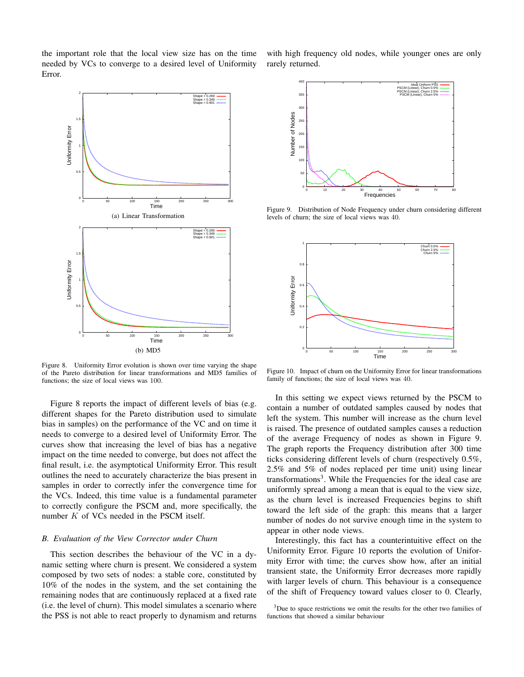the important role that the local view size has on the time needed by VCs to converge to a desired level of Uniformity Error.



Figure 8. Uniformity Error evolution is shown over time varying the shape of the Pareto distribution for linear transformations and MD5 families of functions; the size of local views was 100.

Figure 8 reports the impact of different levels of bias (e.g. different shapes for the Pareto distribution used to simulate bias in samples) on the performance of the VC and on time it needs to converge to a desired level of Uniformity Error. The curves show that increasing the level of bias has a negative impact on the time needed to converge, but does not affect the final result, i.e. the asymptotical Uniformity Error. This result outlines the need to accurately characterize the bias present in samples in order to correctly infer the convergence time for the VCs. Indeed, this time value is a fundamental parameter to correctly configure the PSCM and, more specifically, the number *K* of VCs needed in the PSCM itself.

#### *B. Evaluation of the View Corrector under Churn*

This section describes the behaviour of the VC in a dynamic setting where churn is present. We considered a system composed by two sets of nodes: a stable core, constituted by 10% of the nodes in the system, and the set containing the remaining nodes that are continuously replaced at a fixed rate (i.e. the level of churn). This model simulates a scenario where the PSS is not able to react properly to dynamism and returns

with high frequency old nodes, while younger ones are only rarely returned.



Figure 9. Distribution of Node Frequency under churn considering different levels of churn; the size of local views was 40.



Figure 10. Impact of churn on the Uniformity Error for linear transformations family of functions; the size of local views was 40.

In this setting we expect views returned by the PSCM to contain a number of outdated samples caused by nodes that left the system. This number will increase as the churn level is raised. The presence of outdated samples causes a reduction of the average Frequency of nodes as shown in Figure 9. The graph reports the Frequency distribution after 300 time ticks considering different levels of churn (respectively 0.5%, 2.5% and 5% of nodes replaced per time unit) using linear transformations<sup>3</sup>. While the Frequencies for the ideal case are uniformly spread among a mean that is equal to the view size, as the churn level is increased Frequencies begins to shift toward the left side of the graph: this means that a larger number of nodes do not survive enough time in the system to appear in other node views.

Interestingly, this fact has a counterintuitive effect on the Uniformity Error. Figure 10 reports the evolution of Uniformity Error with time; the curves show how, after an initial transient state, the Uniformity Error decreases more rapidly with larger levels of churn. This behaviour is a consequence of the shift of Frequency toward values closer to 0. Clearly,

<sup>&</sup>lt;sup>3</sup>Due to space restrictions we omit the results for the other two families of functions that showed a similar behaviour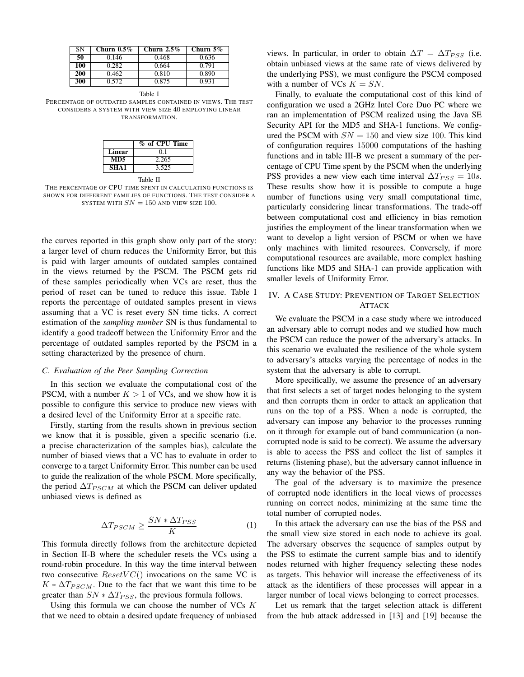| SΝ  | Churn $0.5\%$ | Churn $2.5\%$ | Churn $5\%$ |
|-----|---------------|---------------|-------------|
| 50  | 0.146         | 0.468         | 0.636       |
| 100 | 0.282         | 0.664         | 0.791       |
| 200 | 0.462         | 0.810         | 0.890       |
| 300 | 0.572         | 0.875         | 0.931       |

Table I PERCENTAGE OF OUTDATED SAMPLES CONTAINED IN VIEWS. THE TEST CONSIDERS A SYSTEM WITH VIEW SIZE 40 EMPLOYING LINEAR TRANSFORMATION.

|                 | % of CPU Time |  |
|-----------------|---------------|--|
| Linear          | 0.1           |  |
| MD <sub>5</sub> | 2.265         |  |
| <b>SHA1</b>     | 3.525         |  |
| Table II        |               |  |

THE PERCENTAGE OF CPU TIME SPENT IN CALCULATING FUNCTIONS IS SHOWN FOR DIFFERENT FAMILIES OF FUNCTIONS. THE TEST CONSIDER A SYSTEM WITH  $SN = 150$  AND VIEW SIZE 100.

the curves reported in this graph show only part of the story: a larger level of churn reduces the Uniformity Error, but this is paid with larger amounts of outdated samples contained in the views returned by the PSCM. The PSCM gets rid of these samples periodically when VCs are reset, thus the period of reset can be tuned to reduce this issue. Table I reports the percentage of outdated samples present in views assuming that a VC is reset every SN time ticks. A correct estimation of the *sampling number* SN is thus fundamental to identify a good tradeoff between the Uniformity Error and the percentage of outdated samples reported by the PSCM in a setting characterized by the presence of churn.

## *C. Evaluation of the Peer Sampling Correction*

In this section we evaluate the computational cost of the PSCM, with a number  $K > 1$  of VCs, and we show how it is possible to configure this service to produce new views with a desired level of the Uniformity Error at a specific rate.

Firstly, starting from the results shown in previous section we know that it is possible, given a specific scenario (i.e. a precise characterization of the samples bias), calculate the number of biased views that a VC has to evaluate in order to converge to a target Uniformity Error. This number can be used to guide the realization of the whole PSCM. More specifically, the period  $\Delta T_{PSCM}$  at which the PSCM can deliver updated unbiased views is defined as

$$
\Delta T_{PSCM} \ge \frac{SN * \Delta T_{PSS}}{K} \tag{1}
$$

This formula directly follows from the architecture depicted in Section II-B where the scheduler resets the VCs using a round-robin procedure. In this way the time interval between two consecutive  $ResetVC()$  invocations on the same VC is  $K * \Delta T_{PSCM}$ . Due to the fact that we want this time to be greater than  $SN * \Delta T_{PSS}$ , the previous formula follows.

Using this formula we can choose the number of VCs *K* that we need to obtain a desired update frequency of unbiased

views. In particular, in order to obtain  $\Delta T = \Delta T_{PSS}$  (i.e. obtain unbiased views at the same rate of views delivered by the underlying PSS), we must configure the PSCM composed with a number of VCs  $K = SN$ .

Finally, to evaluate the computational cost of this kind of configuration we used a 2GHz Intel Core Duo PC where we ran an implementation of PSCM realized using the Java SE Security API for the MD5 and SHA-1 functions. We configured the PSCM with  $SN = 150$  and view size 100. This kind of configuration requires 15000 computations of the hashing functions and in table III-B we present a summary of the percentage of CPU Time spent by the PSCM when the underlying PSS provides a new view each time interval  $\Delta T_{PSS} = 10s$ . These results show how it is possible to compute a huge number of functions using very small computational time, particularly considering linear transformations. The trade-off between computational cost and efficiency in bias remotion justifies the employment of the linear transformation when we want to develop a light version of PSCM or when we have only machines with limited resources. Conversely, if more computational resources are available, more complex hashing functions like MD5 and SHA-1 can provide application with smaller levels of Uniformity Error.

## IV. A CASE STUDY: PREVENTION OF TARGET SELECTION ATTACK

We evaluate the PSCM in a case study where we introduced an adversary able to corrupt nodes and we studied how much the PSCM can reduce the power of the adversary's attacks. In this scenario we evaluated the resilience of the whole system to adversary's attacks varying the percentage of nodes in the system that the adversary is able to corrupt.

More specifically, we assume the presence of an adversary that first selects a set of target nodes belonging to the system and then corrupts them in order to attack an application that runs on the top of a PSS. When a node is corrupted, the adversary can impose any behavior to the processes running on it through for example out of band communication (a noncorrupted node is said to be correct). We assume the adversary is able to access the PSS and collect the list of samples it returns (listening phase), but the adversary cannot influence in any way the behavior of the PSS.

The goal of the adversary is to maximize the presence of corrupted node identifiers in the local views of processes running on correct nodes, minimizing at the same time the total number of corrupted nodes.

In this attack the adversary can use the bias of the PSS and the small view size stored in each node to achieve its goal. The adversary observes the sequence of samples output by the PSS to estimate the current sample bias and to identify nodes returned with higher frequency selecting these nodes as targets. This behavior will increase the effectiveness of its attack as the identifiers of these processes will appear in a larger number of local views belonging to correct processes.

Let us remark that the target selection attack is different from the hub attack addressed in [13] and [19] because the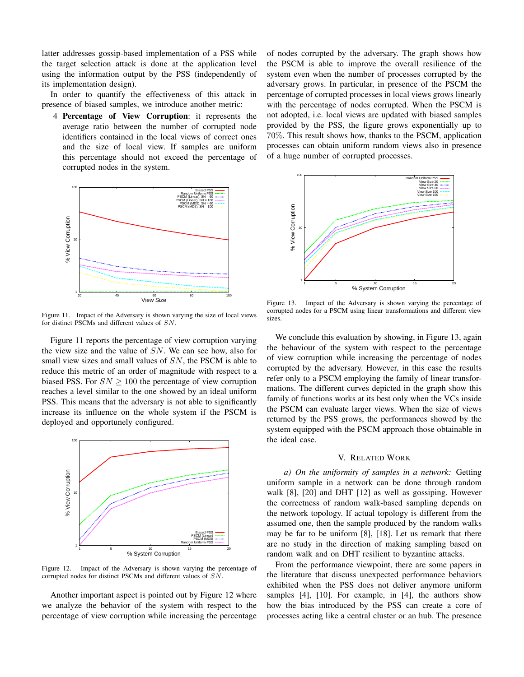latter addresses gossip-based implementation of a PSS while the target selection attack is done at the application level using the information output by the PSS (independently of its implementation design).

In order to quantify the effectiveness of this attack in presence of biased samples, we introduce another metric:

4 Percentage of View Corruption: it represents the average ratio between the number of corrupted node identifiers contained in the local views of correct ones and the size of local view. If samples are uniform this percentage should not exceed the percentage of corrupted nodes in the system.



Figure 11. Impact of the Adversary is shown varying the size of local views for distinct PSCMs and different values of *SN*.

Figure 11 reports the percentage of view corruption varying the view size and the value of *SN*. We can see how, also for small view sizes and small values of *SN*, the PSCM is able to reduce this metric of an order of magnitude with respect to a biased PSS. For *SN ≥* 100 the percentage of view corruption reaches a level similar to the one showed by an ideal uniform PSS. This means that the adversary is not able to significantly increase its influence on the whole system if the PSCM is deployed and opportunely configured.



Figure 12. Impact of the Adversary is shown varying the percentage of corrupted nodes for distinct PSCMs and different values of *SN*.

Another important aspect is pointed out by Figure 12 where we analyze the behavior of the system with respect to the percentage of view corruption while increasing the percentage of nodes corrupted by the adversary. The graph shows how the PSCM is able to improve the overall resilience of the system even when the number of processes corrupted by the adversary grows. In particular, in presence of the PSCM the percentage of corrupted processes in local views grows linearly with the percentage of nodes corrupted. When the PSCM is not adopted, i.e. local views are updated with biased samples provided by the PSS, the figure grows exponentially up to 70%. This result shows how, thanks to the PSCM, application processes can obtain uniform random views also in presence of a huge number of corrupted processes.



Figure 13. Impact of the Adversary is shown varying the percentage of corrupted nodes for a PSCM using linear transformations and different view sizes.

We conclude this evaluation by showing, in Figure 13, again the behaviour of the system with respect to the percentage of view corruption while increasing the percentage of nodes corrupted by the adversary. However, in this case the results refer only to a PSCM employing the family of linear transformations. The different curves depicted in the graph show this family of functions works at its best only when the VCs inside the PSCM can evaluate larger views. When the size of views returned by the PSS grows, the performances showed by the system equipped with the PSCM approach those obtainable in the ideal case.

#### V. RELATED WORK

*a) On the uniformity of samples in a network:* Getting uniform sample in a network can be done through random walk [8], [20] and DHT [12] as well as gossiping. However the correctness of random walk-based sampling depends on the network topology. If actual topology is different from the assumed one, then the sample produced by the random walks may be far to be uniform [8], [18]. Let us remark that there are no study in the direction of making sampling based on random walk and on DHT resilient to byzantine attacks.

From the performance viewpoint, there are some papers in the literature that discuss unexpected performance behaviors exhibited when the PSS does not deliver anymore uniform samples [4], [10]. For example, in [4], the authors show how the bias introduced by the PSS can create a core of processes acting like a central cluster or an hub. The presence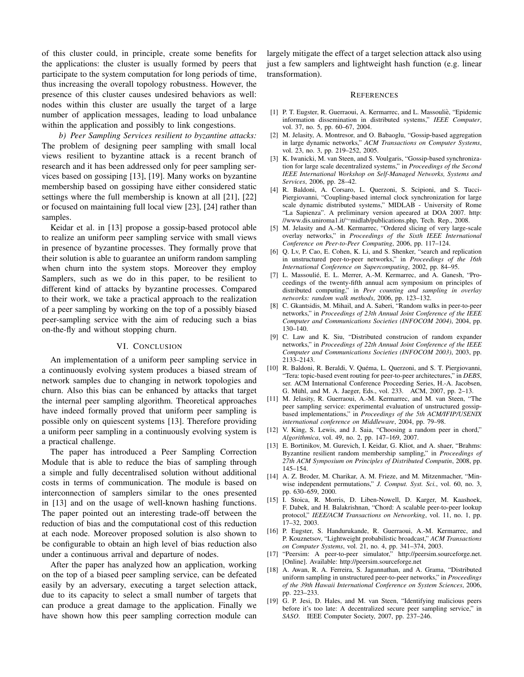of this cluster could, in principle, create some benefits for the applications: the cluster is usually formed by peers that participate to the system computation for long periods of time, thus increasing the overall topology robustness. However, the presence of this cluster causes undesired behaviors as well: nodes within this cluster are usually the target of a large number of application messages, leading to load unbalance within the application and possibly to link congestions.

*b) Peer Sampling Services resilient to byzantine attacks:* The problem of designing peer sampling with small local views resilient to byzantine attack is a recent branch of research and it has been addressed only for peer sampling services based on gossiping [13], [19]. Many works on byzantine membership based on gossiping have either considered static settings where the full membership is known at all [21], [22] or focused on maintaining full local view [23], [24] rather than samples.

Keidar et al. in [13] propose a gossip-based protocol able to realize an uniform peer sampling service with small views in presence of byzantine processes. They formally prove that their solution is able to guarantee an uniform random sampling when churn into the system stops. Moreover they employ Samplers, such as we do in this paper, to be resilient to different kind of attacks by byzantine processes. Compared to their work, we take a practical approach to the realization of a peer sampling by working on the top of a possibly biased peer-sampling service with the aim of reducing such a bias on-the-fly and without stopping churn.

## VI. CONCLUSION

An implementation of a uniform peer sampling service in a continuously evolving system produces a biased stream of network samples due to changing in network topologies and churn. Also this bias can be enhanced by attacks that target the internal peer sampling algorithm. Theoretical approaches have indeed formally proved that uniform peer sampling is possible only on quiescent systems [13]. Therefore providing a uniform peer sampling in a continuously evolving system is a practical challenge.

The paper has introduced a Peer Sampling Correction Module that is able to reduce the bias of sampling through a simple and fully decentralised solution without additional costs in terms of communication. The module is based on interconnection of samplers similar to the ones presented in [13] and on the usage of well-known hashing functions. The paper pointed out an interesting trade-off between the reduction of bias and the computational cost of this reduction at each node. Moreover proposed solution is also shown to be configurable to obtain an high level of bias reduction also under a continuous arrival and departure of nodes.

After the paper has analyzed how an application, working on the top of a biased peer sampling service, can be defeated easily by an adversary, executing a target selection attack, due to its capacity to select a small number of targets that can produce a great damage to the application. Finally we have shown how this peer sampling correction module can largely mitigate the effect of a target selection attack also using just a few samplers and lightweight hash function (e.g. linear transformation).

#### **REFERENCES**

- [1] P. T. Eugster, R. Guerraoui, A. Kermarrec, and L. Massouliè, "Epidemic information dissemination in distributed systems," *IEEE Computer*, vol. 37, no. 5, pp. 60–67, 2004.
- [2] M. Jelasity, A. Montresor, and O. Babaoglu, "Gossip-based aggregation in large dynamic networks," *ACM Transactions on Computer Systems*, vol. 23, no. 3, pp. 219–252, 2005.
- [3] K. Iwanicki, M. van Steen, and S. Voulgaris, "Gossip-based synchronization for large scale decentralized systems," in *Proceedings of the Second IEEE International Workshop on Self-Managed Networks, Systems and Services*, 2006, pp. 28–42.
- [4] R. Baldoni, A. Corsaro, L. Querzoni, S. Scipioni, and S. Tucci-Piergiovanni, "Coupling-based internal clock synchronization for large scale dynamic distributed systems," MIDLAB - University of Rome "La Sapienza". A preliminary version apeeared at DOA 2007. http: //www.dis.uniroma1.it/*∼*midlab/publications.php, Tech. Rep., 2008.
- [5] M. Jelasity and A.-M. Kermarrec, "Ordered slicing of very large-scale overlay networks," in *Proceedings of the Sixth IEEE International Conference on Peer-to-Peer Computing*, 2006, pp. 117–124.
- [6] Q. Lv, P. Cao, E. Cohen, K. Li, and S. Shenker, "search and replication in unstructured peer-to-peer networks," in *Proceedings of the 16th International Conference on Supercomputing*, 2002, pp. 84–95.
- [7] L. Massoulié, E. L. Merrer, A.-M. Kermarrec, and A. Ganesh, "Proceedings of the twenty-fifth annual acm symposium on principles of distributed computing," in *Peer counting and sampling in overlay networks: random walk methods*, 2006, pp. 123–132.
- [8] C. Gkantsidis, M. Mihail, and A. Saberi, "Random walks in peer-to-peer networks," in *Proceedings of 23th Annual Joint Conference of the IEEE Computer and Communications Societies (INFOCOM 2004)*, 2004, pp. 130–140.
- [9] C. Law and K. Siu, "Distributed construcion of random expander networks," in *Proceedings of 22th Annual Joint Conference of the IEEE Computer and Communications Societies (INFOCOM 2003)*, 2003, pp. 2133–2143.
- [10] R. Baldoni, R. Beraldi, V. Quéma, L. Querzoni, and S. T. Piergiovanni, "Tera: topic-based event routing for peer-to-peer architectures," in *DEBS*, ser. ACM International Conference Proceeding Series, H.-A. Jacobsen, G. Muhl, and M. A. Jaeger, Eds., vol. 233. ACM, 2007, pp. 2–13. ¨
- [11] M. Jelasity, R. Guerraoui, A.-M. Kermarrec, and M. van Steen, "The peer sampling service: experimental evaluation of unstructured gossipbased implementations," in *Proceedings of the 5th ACM/IFIP/USENIX international conference on Middleware*, 2004, pp. 79–98.
- [12] V. King, S. Lewis, and J. Saia, "Choosing a random peer in chord," *Algorithmica*, vol. 49, no. 2, pp. 147–169, 2007.
- [13] E. Bortinikov, M. Gurevich, I. Keidar, G. Kliot, and A. shaer, "Brahms: Byzantine resilient random membership sampling," in *Proceedings of 27th ACM Symposium on Principles of Distributed Computin*, 2008, pp. 145–154.
- [14] A. Z. Broder, M. Charikar, A. M. Frieze, and M. Mitzenmacher, "Minwise independent permutations," *J. Comput. Syst. Sci.*, vol. 60, no. 3, pp. 630–659, 2000.
- [15] I. Stoica, R. Morris, D. Liben-Nowell, D. Karger, M. Kaashoek, F. Dabek, and H. Balakrishnan, "Chord: A scalable peer-to-peer lookup protocol," *IEEE/ACM Transactions on Networking*, vol. 11, no. 1, pp. 17–32, 2003.
- [16] P. Eugster, S. Handurukande, R. Guerraoui, A.-M. Kermarrec, and P. Kouznetsov, "Lightweight probabilistic broadcast," *ACM Transactions on Computer Systems*, vol. 21, no. 4, pp. 341–374, 2003.
- [17] "Peersim: A peer-to-peer simulator," http://peersim.sourceforge.net. [Online]. Available: http://peersim.sourceforge.net
- [18] A. Awan, R. A. Ferreira, S. Jagannathan, and A. Grama, "Distributed uniform sampling in unstructured peer-to-peer networks," in *Proceedings of the 39th Hawaii International Conference on System Sciences*, 2006, pp. 223–233.
- [19] G. P. Jesi, D. Hales, and M. van Steen, "Identifying malicious peers before it's too late: A decentralized secure peer sampling service," in *SASO*. IEEE Computer Society, 2007, pp. 237–246.